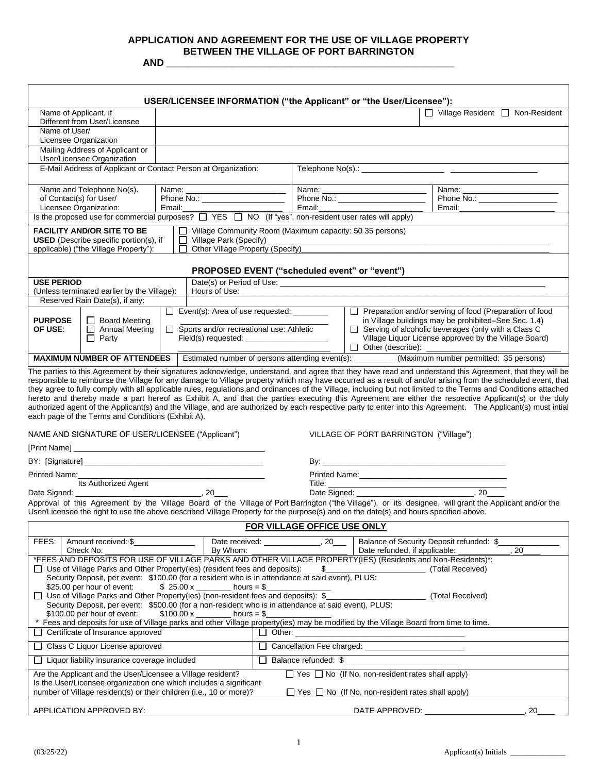# **APPLICATION AND AGREEMENT FOR THE USE OF VILLAGE PROPERTY BETWEEN THE VILLAGE OF PORT BARRINGTON**

**AND \_\_\_\_\_\_\_\_\_\_\_\_\_\_\_\_\_\_\_\_\_\_\_\_\_\_\_\_\_\_\_\_\_\_\_\_\_\_\_\_\_\_\_\_\_\_\_\_\_\_\_\_\_**

| Name of Applicant, if<br>Different from User/Licensee<br>Name of User/<br>Licensee Organization<br>Mailing Address of Applicant or                                                                                                                                                                                                                                                                                                                                                                                                                                                                                                                                                                                                                                                                                                                                                                                                                                                                                                                                                                     |                                                                                         |                                                                                                     |                                                                                                                                                                                                         | $\Box$ Village Resident $\Box$ Non-Resident                                                        |  |
|--------------------------------------------------------------------------------------------------------------------------------------------------------------------------------------------------------------------------------------------------------------------------------------------------------------------------------------------------------------------------------------------------------------------------------------------------------------------------------------------------------------------------------------------------------------------------------------------------------------------------------------------------------------------------------------------------------------------------------------------------------------------------------------------------------------------------------------------------------------------------------------------------------------------------------------------------------------------------------------------------------------------------------------------------------------------------------------------------------|-----------------------------------------------------------------------------------------|-----------------------------------------------------------------------------------------------------|---------------------------------------------------------------------------------------------------------------------------------------------------------------------------------------------------------|----------------------------------------------------------------------------------------------------|--|
|                                                                                                                                                                                                                                                                                                                                                                                                                                                                                                                                                                                                                                                                                                                                                                                                                                                                                                                                                                                                                                                                                                        |                                                                                         |                                                                                                     |                                                                                                                                                                                                         |                                                                                                    |  |
|                                                                                                                                                                                                                                                                                                                                                                                                                                                                                                                                                                                                                                                                                                                                                                                                                                                                                                                                                                                                                                                                                                        |                                                                                         |                                                                                                     |                                                                                                                                                                                                         |                                                                                                    |  |
|                                                                                                                                                                                                                                                                                                                                                                                                                                                                                                                                                                                                                                                                                                                                                                                                                                                                                                                                                                                                                                                                                                        |                                                                                         |                                                                                                     |                                                                                                                                                                                                         |                                                                                                    |  |
| User/Licensee Organization                                                                                                                                                                                                                                                                                                                                                                                                                                                                                                                                                                                                                                                                                                                                                                                                                                                                                                                                                                                                                                                                             |                                                                                         |                                                                                                     |                                                                                                                                                                                                         |                                                                                                    |  |
| E-Mail Address of Applicant or Contact Person at Organization:                                                                                                                                                                                                                                                                                                                                                                                                                                                                                                                                                                                                                                                                                                                                                                                                                                                                                                                                                                                                                                         |                                                                                         |                                                                                                     |                                                                                                                                                                                                         |                                                                                                    |  |
| Name and Telephone No(s).                                                                                                                                                                                                                                                                                                                                                                                                                                                                                                                                                                                                                                                                                                                                                                                                                                                                                                                                                                                                                                                                              |                                                                                         |                                                                                                     | Name: ___________________________                                                                                                                                                                       |                                                                                                    |  |
| Phone No.:<br>of Contact(s) for User/                                                                                                                                                                                                                                                                                                                                                                                                                                                                                                                                                                                                                                                                                                                                                                                                                                                                                                                                                                                                                                                                  |                                                                                         |                                                                                                     |                                                                                                                                                                                                         | Email:                                                                                             |  |
| Email:<br>Licensee Organization:<br>Is the proposed use for commercial purposes? $\Box$ YES $\Box$ NO (If "yes", non-resident user rates will apply)                                                                                                                                                                                                                                                                                                                                                                                                                                                                                                                                                                                                                                                                                                                                                                                                                                                                                                                                                   |                                                                                         | Email:                                                                                              |                                                                                                                                                                                                         |                                                                                                    |  |
| <b>FACILITY AND/OR SITE TO BE</b><br>$\Box$ Village Community Room (Maximum capacity: $50$ 35 persons)<br>Village Park (Specify)<br><b>USED</b> (Describe specific portion(s), if<br><u> 1989 - Johann John Harry Harry Harry Harry Harry Harry Harry Harry Harry Harry Harry Harry Harry Harry Harry Harry Harry Harry Harry Harry Harry Harry Harry Harry Harry Harry Harry Harry Harry Harry Harry Harry Harry Har</u><br>Other Village Property (Specify)<br>applicable) ("the Village Property"):                                                                                                                                                                                                                                                                                                                                                                                                                                                                                                                                                                                                 |                                                                                         |                                                                                                     |                                                                                                                                                                                                         |                                                                                                    |  |
| PROPOSED EVENT ("scheduled event" or "event")                                                                                                                                                                                                                                                                                                                                                                                                                                                                                                                                                                                                                                                                                                                                                                                                                                                                                                                                                                                                                                                          |                                                                                         |                                                                                                     |                                                                                                                                                                                                         |                                                                                                    |  |
| <b>USE PERIOD</b>                                                                                                                                                                                                                                                                                                                                                                                                                                                                                                                                                                                                                                                                                                                                                                                                                                                                                                                                                                                                                                                                                      |                                                                                         |                                                                                                     |                                                                                                                                                                                                         |                                                                                                    |  |
| Hours of Use:<br>(Unless terminated earlier by the Village):                                                                                                                                                                                                                                                                                                                                                                                                                                                                                                                                                                                                                                                                                                                                                                                                                                                                                                                                                                                                                                           |                                                                                         |                                                                                                     |                                                                                                                                                                                                         |                                                                                                    |  |
| Reserved Rain Date(s), if any:                                                                                                                                                                                                                                                                                                                                                                                                                                                                                                                                                                                                                                                                                                                                                                                                                                                                                                                                                                                                                                                                         | Event(s): Area of use requested: ________                                               |                                                                                                     |                                                                                                                                                                                                         | Preparation and/or serving of food (Preparation of food                                            |  |
| <b>PURPOSE</b><br>□ Board Meeting<br>Sports and/or recreational use: Athletic<br>Annual Meeting<br>OF USE:<br>$\Box$ Party                                                                                                                                                                                                                                                                                                                                                                                                                                                                                                                                                                                                                                                                                                                                                                                                                                                                                                                                                                             |                                                                                         |                                                                                                     | in Village buildings may be prohibited-See Sec. 1.4)<br>$\Box$ Serving of alcoholic beverages (only with a Class C<br>Village Liquor License approved by the Village Board)<br>$\Box$ Other (describe): |                                                                                                    |  |
| <b>MAXIMUM NUMBER OF ATTENDEES</b>                                                                                                                                                                                                                                                                                                                                                                                                                                                                                                                                                                                                                                                                                                                                                                                                                                                                                                                                                                                                                                                                     |                                                                                         |                                                                                                     |                                                                                                                                                                                                         | Estimated number of persons attending event(s): ___________ (Maximum number permitted: 35 persons) |  |
| they agree to fully comply with all applicable rules, regulations, and ordinances of the Village, including but not limited to the Terms and Conditions attached<br>hereto and thereby made a part hereof as Exhibit A, and that the parties executing this Agreement are either the respective Applicant(s) or the duly<br>authorized agent of the Applicant(s) and the Village, and are authorized by each respective party to enter into this Agreement. The Applicant(s) must intial<br>each page of the Terms and Conditions (Exhibit A).<br>NAME AND SIGNATURE OF USER/LICENSEE ("Applicant")<br>Its Authorized Agent<br>Approval of this Agreement by the Village Board of the Village of Port Barrington ("the Village"), or its designee, will grant the Applicant and/or the<br>User/Licensee the right to use the above described Village Property for the purpose(s) and on the date(s) and hours specified above.                                                                                                                                                                         |                                                                                         |                                                                                                     | VILLAGE OF PORT BARRINGTON ("Village")                                                                                                                                                                  |                                                                                                    |  |
| FOR VILLAGE OFFICE USE ONLY                                                                                                                                                                                                                                                                                                                                                                                                                                                                                                                                                                                                                                                                                                                                                                                                                                                                                                                                                                                                                                                                            |                                                                                         |                                                                                                     |                                                                                                                                                                                                         |                                                                                                    |  |
| FEES:<br>Amount received: \$<br>Check No.<br>*FEES AND DEPOSITS FOR USE OF VILLAGE PARKS AND OTHER VILLAGE PROPERTY(IES) (Residents and Non-Residents)*:<br>Use of Village Parks and Other Property (ies) (resident fees and deposits):<br>Security Deposit, per event: \$100.00 (for a resident who is in attendance at said event), PLUS:<br>\$25.00 per hour of event:<br>□ Use of Village Parks and Other Property(ies) (non-resident fees and deposits): \$<br>Security Deposit, per event: \$500.00 (for a non-resident who is in attendance at said event), PLUS:<br>\$100.00 per hour of event:<br>Fees and deposits for use of Village parks and other Village property(ies) may be modified by the Village Board from time to time.<br>Certificate of Insurance approved<br>$\Box$<br>Class C Liquor License approved<br>$\perp$<br>Liquor liability insurance coverage included<br>Are the Applicant and the User/Licensee a Village resident?<br>Is the User/Licensee organization one which includes a significant<br>number of Village resident(s) or their children (i.e., 10 or more)? | Date received:<br>By Whom:<br>\$ $25.00 \times$ hours = \$<br>\$100.00 x<br>hours = $\$ | 20<br>\$<br>$\Box$ Other:<br>$\Box$ Cancellation Fee charged: $\Box$<br>$\Box$ Balance refunded: \$ | Date refunded, if applicable:<br>$\Box$ Yes $\Box$ No (If No, non-resident rates shall apply)<br>$\Box$ Yes $\Box$ No (If No, non-resident rates shall apply)                                           | Balance of Security Deposit refunded: \$<br>20<br>(Total Received)<br>(Total Received)             |  |
| APPLICATION APPROVED BY:                                                                                                                                                                                                                                                                                                                                                                                                                                                                                                                                                                                                                                                                                                                                                                                                                                                                                                                                                                                                                                                                               |                                                                                         |                                                                                                     | DATE APPROVED:                                                                                                                                                                                          | 20                                                                                                 |  |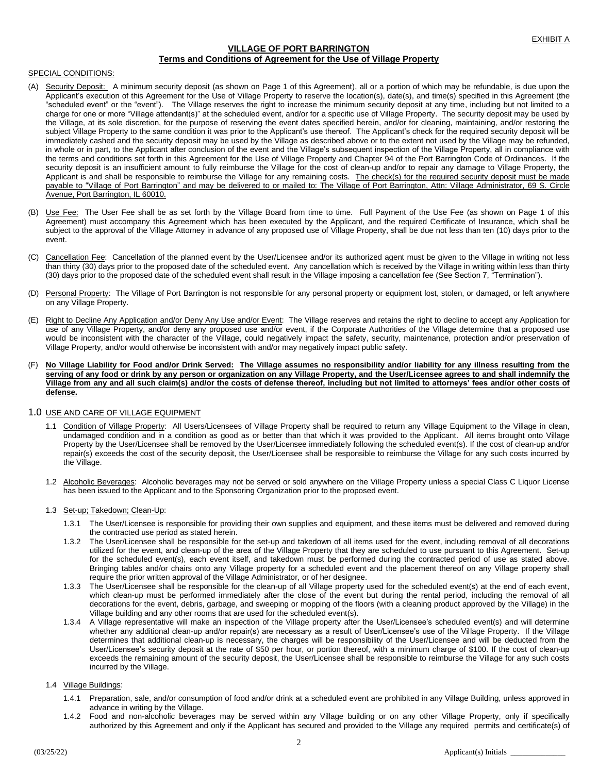# **VILLAGE OF PORT BARRINGTON Terms and Conditions of Agreement for the Use of Village Property**

## SPECIAL CONDITIONS:

- (A) Security Deposit: A minimum security deposit (as shown on Page 1 of this Agreement), all or a portion of which may be refundable, is due upon the Applicant's execution of this Agreement for the Use of Village Property to reserve the location(s), date(s), and time(s) specified in this Agreement (the "scheduled event" or the "event"). The Village reserves the right to increase the minimum security deposit at any time, including but not limited to a charge for one or more "Village attendant(s)" at the scheduled event, and/or for a specific use of Village Property. The security deposit may be used by the Village, at its sole discretion, for the purpose of reserving the event dates specified herein, and/or for cleaning, maintaining, and/or restoring the subject Village Property to the same condition it was prior to the Applicant's use thereof. The Applicant's check for the required security deposit will be immediately cashed and the security deposit may be used by the Village as described above or to the extent not used by the Village may be refunded, in whole or in part, to the Applicant after conclusion of the event and the Village's subsequent inspection of the Village Property, all in compliance with the terms and conditions set forth in this Agreement for the Use of Village Property and Chapter 94 of the Port Barrington Code of Ordinances. If the security deposit is an insufficient amount to fully reimburse the Village for the cost of clean-up and/or to repair any damage to Village Property, the Applicant is and shall be responsible to reimburse the Village for any remaining costs. The check(s) for the required security deposit must be made payable to "Village of Port Barrington" and may be delivered to or mailed to: The Village of Port Barrington, Attn: Village Administrator, 69 S. Circle Avenue, Port Barrington, IL 60010.
- (B) Use Fee: The User Fee shall be as set forth by the Village Board from time to time. Full Payment of the Use Fee (as shown on Page 1 of this Agreement) must accompany this Agreement which has been executed by the Applicant, and the required Certificate of Insurance, which shall be subject to the approval of the Village Attorney in advance of any proposed use of Village Property, shall be due not less than ten (10) days prior to the event.
- (C) Cancellation Fee: Cancellation of the planned event by the User/Licensee and/or its authorized agent must be given to the Village in writing not less than thirty (30) days prior to the proposed date of the scheduled event. Any cancellation which is received by the Village in writing within less than thirty (30) days prior to the proposed date of the scheduled event shall result in the Village imposing a cancellation fee (See Section 7, "Termination").
- (D) Personal Property: The Village of Port Barrington is not responsible for any personal property or equipment lost, stolen, or damaged, or left anywhere on any Village Property.
- (E) Right to Decline Any Application and/or Deny Any Use and/or Event: The Village reserves and retains the right to decline to accept any Application for use of any Village Property, and/or deny any proposed use and/or event, if the Corporate Authorities of the Village determine that a proposed use would be inconsistent with the character of the Village, could negatively impact the safety, security, maintenance, protection and/or preservation of Village Property, and/or would otherwise be inconsistent with and/or may negatively impact public safety.
- (F) **No Village Liability for Food and/or Drink Served: The Village assumes no responsibility and/or liability for any illness resulting from the serving of any food or drink by any person or organization on any Village Property, and the User/Licensee agrees to and shall indemnify the Village from any and all such claim(s) and/or the costs of defense thereof, including but not limited to attorneys' fees and/or other costs of defense.**

## 1.0 USE AND CARE OF VILLAGE EQUIPMENT

- 1.1 Condition of Village Property: All Users/Licensees of Village Property shall be required to return any Village Equipment to the Village in clean, undamaged condition and in a condition as good as or better than that which it was provided to the Applicant. All items brought onto Village Property by the User/Licensee shall be removed by the User/Licensee immediately following the scheduled event(s). If the cost of clean-up and/or repair(s) exceeds the cost of the security deposit, the User/Licensee shall be responsible to reimburse the Village for any such costs incurred by the Village.
- 1.2 Alcoholic Beverages: Alcoholic beverages may not be served or sold anywhere on the Village Property unless a special Class C Liquor License has been issued to the Applicant and to the Sponsoring Organization prior to the proposed event.

## 1.3 Set-up; Takedown; Clean-Up:

- 1.3.1 The User/Licensee is responsible for providing their own supplies and equipment, and these items must be delivered and removed during the contracted use period as stated herein.
- 1.3.2 The User/Licensee shall be responsible for the set-up and takedown of all items used for the event, including removal of all decorations utilized for the event, and clean-up of the area of the Village Property that they are scheduled to use pursuant to this Agreement. Set-up for the scheduled event(s), each event itself, and takedown must be performed during the contracted period of use as stated above. Bringing tables and/or chairs onto any Village property for a scheduled event and the placement thereof on any Village property shall require the prior written approval of the Village Administrator, or of her designee.
- 1.3.3 The User/Licensee shall be responsible for the clean-up of all Village property used for the scheduled event(s) at the end of each event, which clean-up must be performed immediately after the close of the event but during the rental period, including the removal of all decorations for the event, debris, garbage, and sweeping or mopping of the floors (with a cleaning product approved by the Village) in the Village building and any other rooms that are used for the scheduled event(s).
- 1.3.4 A Village representative will make an inspection of the Village property after the User/Licensee's scheduled event(s) and will determine whether any additional clean-up and/or repair(s) are necessary as a result of User/Licensee's use of the Village Property. If the Village determines that additional clean-up is necessary, the charges will be responsibility of the User/Licensee and will be deducted from the User/Licensee's security deposit at the rate of \$50 per hour, or portion thereof, with a minimum charge of \$100. If the cost of clean-up exceeds the remaining amount of the security deposit, the User/Licensee shall be responsible to reimburse the Village for any such costs incurred by the Village.

## 1.4 Village Buildings:

- 1.4.1 Preparation, sale, and/or consumption of food and/or drink at a scheduled event are prohibited in any Village Building, unless approved in advance in writing by the Village.
- 1.4.2 Food and non-alcoholic beverages may be served within any Village building or on any other Village Property, only if specifically authorized by this Agreement and only if the Applicant has secured and provided to the Village any required permits and certificate(s) of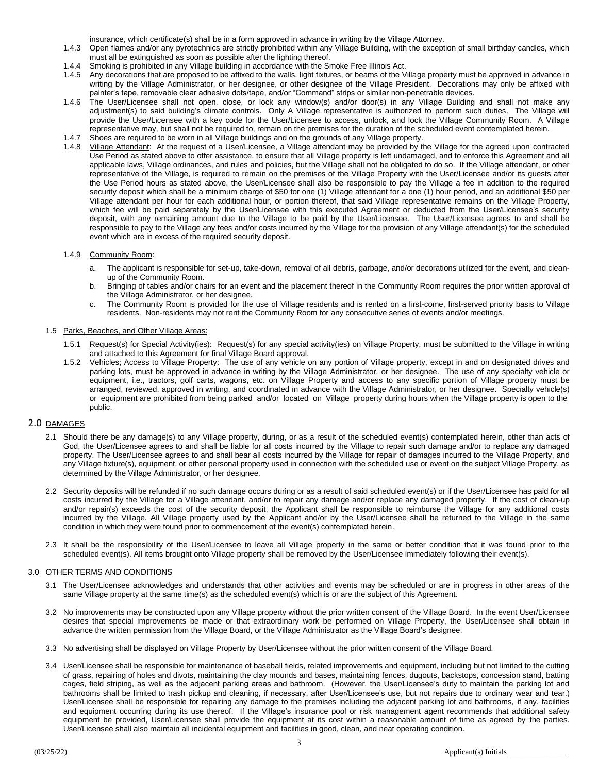insurance, which certificate(s) shall be in a form approved in advance in writing by the Village Attorney.

- 1.4.3 Open flames and/or any pyrotechnics are strictly prohibited within any Village Building, with the exception of small birthday candles, which must all be extinguished as soon as possible after the lighting thereof.
- 1.4.4 Smoking is prohibited in any Village building in accordance with the Smoke Free Illinois Act.
- 1.4.5 Any decorations that are proposed to be affixed to the walls, light fixtures, or beams of the Village property must be approved in advance in writing by the Village Administrator, or her designee, or other designee of the Village President. Decorations may only be affixed with painter's tape, removable clear adhesive dots/tape, and/or "Command" strips or similar non-penetrable devices.
- 1.4.6 The User/Licensee shall not open, close, or lock any window(s) and/or door(s) in any Village Building and shall not make any adjustment(s) to said building's climate controls. Only A Village representative is authorized to perform such duties. The Village will provide the User/Licensee with a key code for the User/Licensee to access, unlock, and lock the Village Community Room. A Village representative may, but shall not be required to, remain on the premises for the duration of the scheduled event contemplated herein.
- 1.4.7 Shoes are required to be worn in all Village buildings and on the grounds of any Village property.
- 1.4.8 Village Attendant: At the request of a User/Licensee, a Village attendant may be provided by the Village for the agreed upon contracted Use Period as stated above to offer assistance, to ensure that all Village property is left undamaged, and to enforce this Agreement and all applicable laws, Village ordinances, and rules and policies, but the Village shall not be obligated to do so. If the Village attendant, or other representative of the Village, is required to remain on the premises of the Village Property with the User/Licensee and/or its guests after the Use Period hours as stated above, the User/Licensee shall also be responsible to pay the Village a fee in addition to the required security deposit which shall be a minimum charge of \$50 for one (1) Village attendant for a one (1) hour period, and an additional \$50 per Village attendant per hour for each additional hour, or portion thereof, that said Village representative remains on the Village Property, which fee will be paid separately by the User/Licensee with this executed Agreement or deducted from the User/Licensee's security deposit, with any remaining amount due to the Village to be paid by the User/Licensee. The User/Licensee agrees to and shall be responsible to pay to the Village any fees and/or costs incurred by the Village for the provision of any Village attendant(s) for the scheduled event which are in excess of the required security deposit.

## 1.4.9 Community Room:

- a. The applicant is responsible for set-up, take-down, removal of all debris, garbage, and/or decorations utilized for the event, and cleanup of the Community Room.
- b. Bringing of tables and/or chairs for an event and the placement thereof in the Community Room requires the prior written approval of the Village Administrator, or her designee.
- c. The Community Room is provided for the use of Village residents and is rented on a first-come, first-served priority basis to Village residents. Non-residents may not rent the Community Room for any consecutive series of events and/or meetings.

## 1.5 Parks, Beaches, and Other Village Areas:

- 1.5.1 Request(s) for Special Activity(ies): Request(s) for any special activity(ies) on Village Property, must be submitted to the Village in writing and attached to this Agreement for final Village Board approval.
- 1.5.2 Vehicles; Access to Village Property: The use of any vehicle on any portion of Village property, except in and on designated drives and parking lots, must be approved in advance in writing by the Village Administrator, or her designee. The use of any specialty vehicle or equipment, i.e., tractors, golf carts, wagons, etc. on Village Property and access to any specific portion of Village property must be arranged, reviewed, approved in writing, and coordinated in advance with the Village Administrator, or her designee. Specialty vehicle(s) or equipment are prohibited from being parked and/or located on Village property during hours when the Village property is open to the public.

# 2.0 DAMAGES

- 2.1 Should there be any damage(s) to any Village property, during, or as a result of the scheduled event(s) contemplated herein, other than acts of God, the User/Licensee agrees to and shall be liable for all costs incurred by the Village to repair such damage and/or to replace any damaged property. The User/Licensee agrees to and shall bear all costs incurred by the Village for repair of damages incurred to the Village Property, and any Village fixture(s), equipment, or other personal property used in connection with the scheduled use or event on the subject Village Property, as determined by the Village Administrator, or her designee.
- 2.2 Security deposits will be refunded if no such damage occurs during or as a result of said scheduled event(s) or if the User/Licensee has paid for all costs incurred by the Village for a Village attendant, and/or to repair any damage and/or replace any damaged property. If the cost of clean-up and/or repair(s) exceeds the cost of the security deposit, the Applicant shall be responsible to reimburse the Village for any additional costs incurred by the Village. All Village property used by the Applicant and/or by the User/Licensee shall be returned to the Village in the same condition in which they were found prior to commencement of the event(s) contemplated herein.
- 2.3 It shall be the responsibility of the User/Licensee to leave all Village property in the same or better condition that it was found prior to the scheduled event(s). All items brought onto Village property shall be removed by the User/Licensee immediately following their event(s).

#### 3.0 OTHER TERMS AND CONDITIONS

- 3.1 The User/Licensee acknowledges and understands that other activities and events may be scheduled or are in progress in other areas of the same Village property at the same time(s) as the scheduled event(s) which is or are the subject of this Agreement.
- 3.2 No improvements may be constructed upon any Village property without the prior written consent of the Village Board. In the event User/Licensee desires that special improvements be made or that extraordinary work be performed on Village Property, the User/Licensee shall obtain in advance the written permission from the Village Board, or the Village Administrator as the Village Board's designee.
- 3.3 No advertising shall be displayed on Village Property by User/Licensee without the prior written consent of the Village Board.
- 3.4 User/Licensee shall be responsible for maintenance of baseball fields, related improvements and equipment, including but not limited to the cutting of grass, repairing of holes and divots, maintaining the clay mounds and bases, maintaining fences, dugouts, backstops, concession stand, batting cages, field striping, as well as the adjacent parking areas and bathroom. (However, the User/Licensee's duty to maintain the parking lot and bathrooms shall be limited to trash pickup and cleaning, if necessary, after User/Licensee's use, but not repairs due to ordinary wear and tear.) User/Licensee shall be responsible for repairing any damage to the premises including the adjacent parking lot and bathrooms, if any, facilities and equipment occurring during its use thereof. If the Village's insurance pool or risk management agent recommends that additional safety equipment be provided, User/Licensee shall provide the equipment at its cost within a reasonable amount of time as agreed by the parties. User/Licensee shall also maintain all incidental equipment and facilities in good, clean, and neat operating condition.